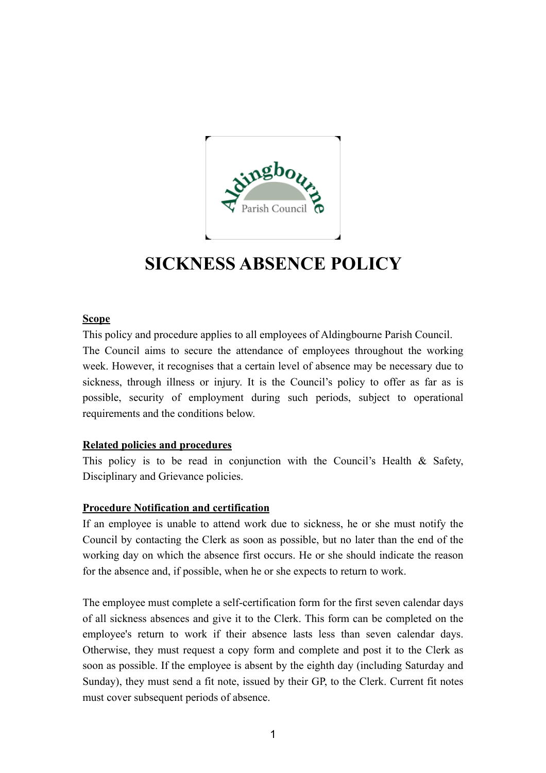

# **SICKNESS ABSENCE POLICY**

### **Scope**

This policy and procedure applies to all employees of Aldingbourne Parish Council. The Council aims to secure the attendance of employees throughout the working week. However, it recognises that a certain level of absence may be necessary due to sickness, through illness or injury. It is the Council's policy to offer as far as is possible, security of employment during such periods, subject to operational requirements and the conditions below.

# **Related policies and procedures**

This policy is to be read in conjunction with the Council's Health & Safety, Disciplinary and Grievance policies.

### **Procedure Notification and certification**

If an employee is unable to attend work due to sickness, he or she must notify the Council by contacting the Clerk as soon as possible, but no later than the end of the working day on which the absence first occurs. He or she should indicate the reason for the absence and, if possible, when he or she expects to return to work.

The employee must complete a self-certification form for the first seven calendar days of all sickness absences and give it to the Clerk. This form can be completed on the employee's return to work if their absence lasts less than seven calendar days. Otherwise, they must request a copy form and complete and post it to the Clerk as soon as possible. If the employee is absent by the eighth day (including Saturday and Sunday), they must send a fit note, issued by their GP, to the Clerk. Current fit notes must cover subsequent periods of absence.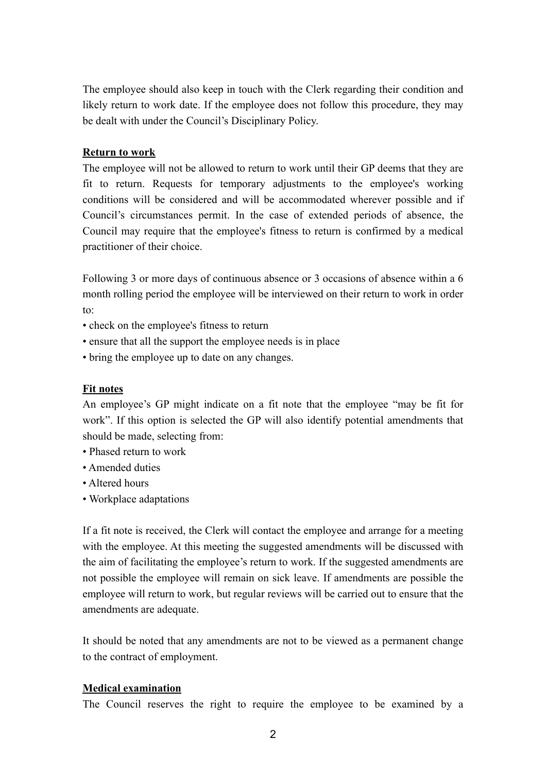The employee should also keep in touch with the Clerk regarding their condition and likely return to work date. If the employee does not follow this procedure, they may be dealt with under the Council's Disciplinary Policy.

#### **Return to work**

The employee will not be allowed to return to work until their GP deems that they are fit to return. Requests for temporary adjustments to the employee's working conditions will be considered and will be accommodated wherever possible and if Council's circumstances permit. In the case of extended periods of absence, the Council may require that the employee's fitness to return is confirmed by a medical practitioner of their choice.

Following 3 or more days of continuous absence or 3 occasions of absence within a 6 month rolling period the employee will be interviewed on their return to work in order to:

- check on the employee's fitness to return
- ensure that all the support the employee needs is in place
- bring the employee up to date on any changes.

#### **Fit notes**

An employee's GP might indicate on a fit note that the employee "may be fit for work". If this option is selected the GP will also identify potential amendments that should be made, selecting from:

- Phased return to work
- Amended duties
- Altered hours
- Workplace adaptations

If a fit note is received, the Clerk will contact the employee and arrange for a meeting with the employee. At this meeting the suggested amendments will be discussed with the aim of facilitating the employee's return to work. If the suggested amendments are not possible the employee will remain on sick leave. If amendments are possible the employee will return to work, but regular reviews will be carried out to ensure that the amendments are adequate.

It should be noted that any amendments are not to be viewed as a permanent change to the contract of employment.

#### **Medical examination**

The Council reserves the right to require the employee to be examined by a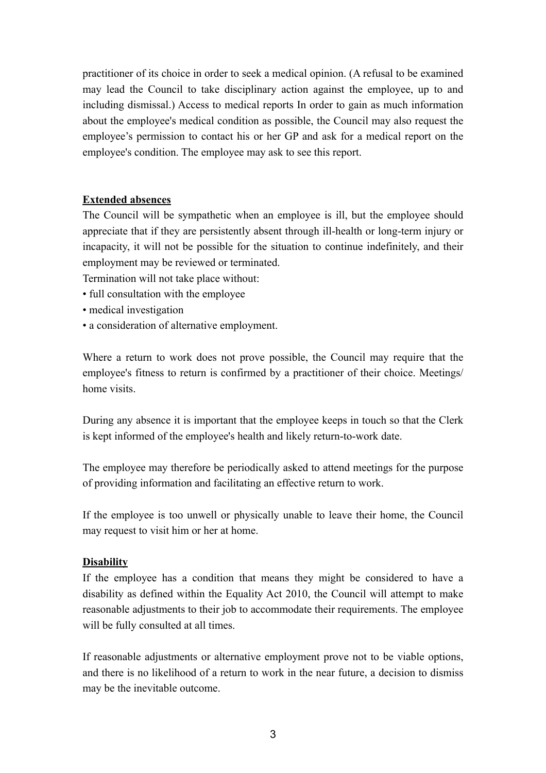practitioner of its choice in order to seek a medical opinion. (A refusal to be examined may lead the Council to take disciplinary action against the employee, up to and including dismissal.) Access to medical reports In order to gain as much information about the employee's medical condition as possible, the Council may also request the employee's permission to contact his or her GP and ask for a medical report on the employee's condition. The employee may ask to see this report.

## **Extended absences**

The Council will be sympathetic when an employee is ill, but the employee should appreciate that if they are persistently absent through ill-health or long-term injury or incapacity, it will not be possible for the situation to continue indefinitely, and their employment may be reviewed or terminated.

Termination will not take place without:

- full consultation with the employee
- medical investigation
- a consideration of alternative employment.

Where a return to work does not prove possible, the Council may require that the employee's fitness to return is confirmed by a practitioner of their choice. Meetings/ home visits.

During any absence it is important that the employee keeps in touch so that the Clerk is kept informed of the employee's health and likely return-to-work date.

The employee may therefore be periodically asked to attend meetings for the purpose of providing information and facilitating an effective return to work.

If the employee is too unwell or physically unable to leave their home, the Council may request to visit him or her at home.

#### **Disability**

If the employee has a condition that means they might be considered to have a disability as defined within the Equality Act 2010, the Council will attempt to make reasonable adjustments to their job to accommodate their requirements. The employee will be fully consulted at all times.

If reasonable adjustments or alternative employment prove not to be viable options, and there is no likelihood of a return to work in the near future, a decision to dismiss may be the inevitable outcome.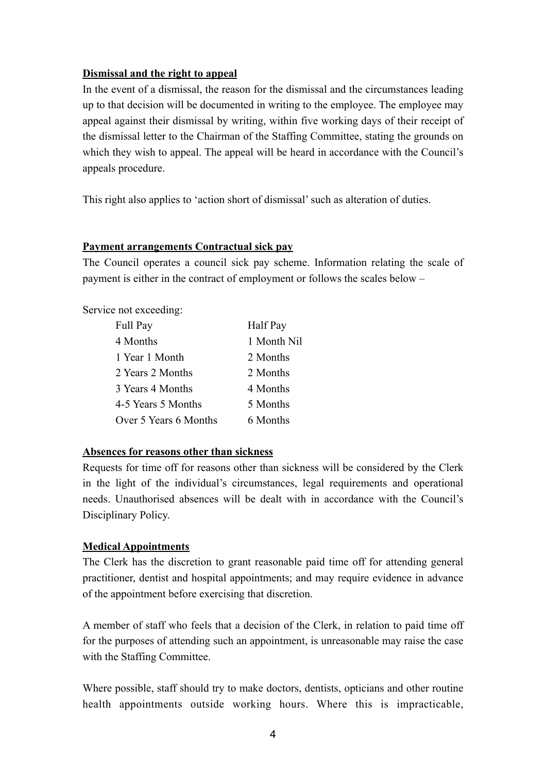### **Dismissal and the right to appeal**

In the event of a dismissal, the reason for the dismissal and the circumstances leading up to that decision will be documented in writing to the employee. The employee may appeal against their dismissal by writing, within five working days of their receipt of the dismissal letter to the Chairman of the Staffing Committee, stating the grounds on which they wish to appeal. The appeal will be heard in accordance with the Council's appeals procedure.

This right also applies to 'action short of dismissal' such as alteration of duties.

### **Payment arrangements Contractual sick pay**

The Council operates a council sick pay scheme. Information relating the scale of payment is either in the contract of employment or follows the scales below –

Service not exceeding:

| Full Pay              | Half Pay    |
|-----------------------|-------------|
| 4 Months              | 1 Month Nil |
| 1 Year 1 Month        | 2 Months    |
| 2 Years 2 Months      | 2 Months    |
| 3 Years 4 Months      | 4 Months    |
| 4-5 Years 5 Months    | 5 Months    |
| Over 5 Years 6 Months | 6 Months    |

### **Absences for reasons other than sickness**

Requests for time off for reasons other than sickness will be considered by the Clerk in the light of the individual's circumstances, legal requirements and operational needs. Unauthorised absences will be dealt with in accordance with the Council's Disciplinary Policy.

### **Medical Appointments**

The Clerk has the discretion to grant reasonable paid time off for attending general practitioner, dentist and hospital appointments; and may require evidence in advance of the appointment before exercising that discretion.

A member of staff who feels that a decision of the Clerk, in relation to paid time off for the purposes of attending such an appointment, is unreasonable may raise the case with the Staffing Committee.

Where possible, staff should try to make doctors, dentists, opticians and other routine health appointments outside working hours. Where this is impracticable,